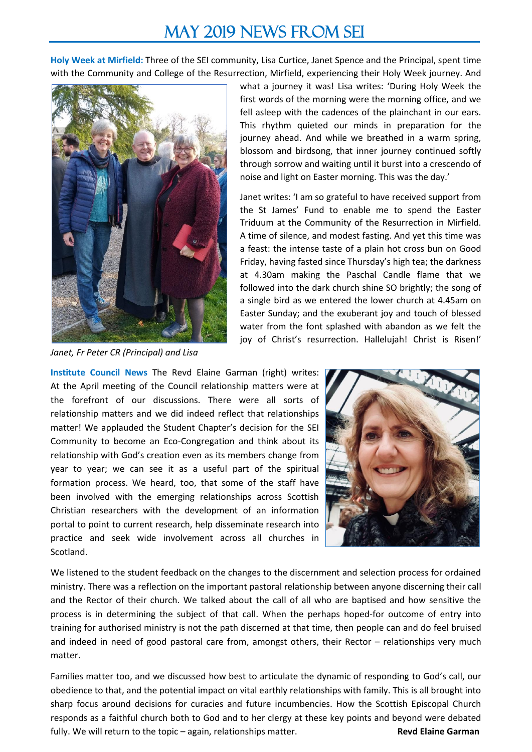## MAY 2019 NEWS FROM SEI

**Holy Week at Mirfield:** Three of the SEI community, Lisa Curtice, Janet Spence and the Principal, spent time with the Community and College of the Resurrection, Mirfield, experiencing their Holy Week journey. And



*Janet, Fr Peter CR (Principal) and Lisa*

what a journey it was! Lisa writes: 'During Holy Week the first words of the morning were the morning office, and we fell asleep with the cadences of the plainchant in our ears. This rhythm quieted our minds in preparation for the journey ahead. And while we breathed in a warm spring, blossom and birdsong, that inner journey continued softly through sorrow and waiting until it burst into a crescendo of noise and light on Easter morning. This was the day.'

Janet writes: 'I am so grateful to have received support from the St James' Fund to enable me to spend the Easter Triduum at the Community of the Resurrection in Mirfield. A time of silence, and modest fasting. And yet this time was a feast: the intense taste of a plain hot cross bun on Good Friday, having fasted since Thursday's high tea; the darkness at 4.30am making the Paschal Candle flame that we followed into the dark church shine SO brightly; the song of a single bird as we entered the lower church at 4.45am on Easter Sunday; and the exuberant joy and touch of blessed water from the font splashed with abandon as we felt the joy of Christ's resurrection. Hallelujah! Christ is Risen!'

**Institute Council News** The Revd Elaine Garman (right) writes: At the April meeting of the Council relationship matters were at the forefront of our discussions. There were all sorts of relationship matters and we did indeed reflect that relationships matter! We applauded the Student Chapter's decision for the SEI Community to become an Eco-Congregation and think about its relationship with God's creation even as its members change from year to year; we can see it as a useful part of the spiritual formation process. We heard, too, that some of the staff have been involved with the emerging relationships across Scottish Christian researchers with the development of an information portal to point to current research, help disseminate research into practice and seek wide involvement across all churches in Scotland.



We listened to the student feedback on the changes to the discernment and selection process for ordained ministry. There was a reflection on the important pastoral relationship between anyone discerning their call and the Rector of their church. We talked about the call of all who are baptised and how sensitive the process is in determining the subject of that call. When the perhaps hoped-for outcome of entry into training for authorised ministry is not the path discerned at that time, then people can and do feel bruised and indeed in need of good pastoral care from, amongst others, their Rector – relationships very much matter.

Families matter too, and we discussed how best to articulate the dynamic of responding to God's call, our obedience to that, and the potential impact on vital earthly relationships with family. This is all brought into sharp focus around decisions for curacies and future incumbencies. How the Scottish Episcopal Church responds as a faithful church both to God and to her clergy at these key points and beyond were debated fully. We will return to the topic – again, relationships matter. **Revall and School Revd Elaine Garman**